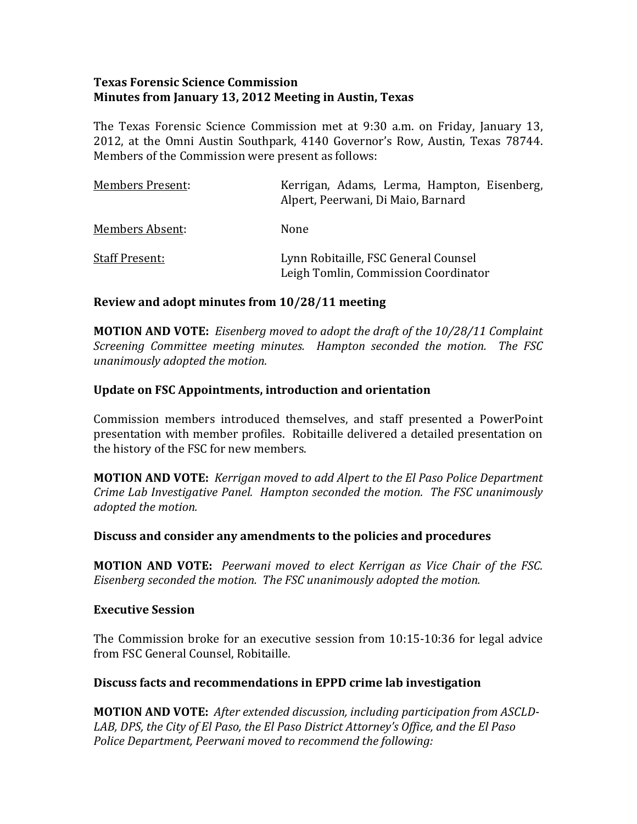### **Texas Forensic Science Commission Minutes from January 13, 2012 Meeting in Austin, Texas**

The Texas Forensic Science Commission met at 9:30 a.m. on Friday, January 13, 2012, at the Omni Austin Southpark, 4140 Governor's Row, Austin, Texas 78744. Members of the Commission were present as follows:

| Members Present:      | Kerrigan, Adams, Lerma, Hampton, Eisenberg,<br>Alpert, Peerwani, Di Maio, Barnard |
|-----------------------|-----------------------------------------------------------------------------------|
| Members Absent:       | None                                                                              |
| <b>Staff Present:</b> | Lynn Robitaille, FSC General Counsel<br>Leigh Tomlin, Commission Coordinator      |

### **Review and adopt minutes from 10/28/11 meeting**

**MOTION AND VOTE:** *Eisenberg moved to adopt the draft of the 10/28/11 Complaint Screening Committee meeting minutes. Hampton seconded the motion. The FSC unanimously adopted the motion.* 

#### **Update on FSC Appointments, introduction and orientation**

Commission members introduced themselves, and staff presented a PowerPoint presentation with member profiles. Robitaille delivered a detailed presentation on the history of the FSC for new members.

**MOTION AND VOTE:** *Kerrigan moved to add Alpert to the El Paso Police Department rime Lab Investigative Panel. Hampton seconded the motion. The FSC unanimously C dopted the motion. a*

#### **Discuss and consider any amendments to the policies and procedures**

**MOTION AND VOTE:**  *Peerwani moved to elect Kerrigan as Vice Chair of the FSC. Eisenberg seconded the motion. The FSC unanimously adopted the motion.* 

#### **Executive Session**

The Commission broke for an executive session from 10:15-10:36 for legal advice rom FSC General Counsel, Robitaille. f

### **Discuss facts and recommendations in EPPD crime lab investigation**

**MOTION AND VOTE:** *After extended discussion, including participation from ASCLD-LAB, DPS, the City of El Paso, the El Paso District Attorney's Office, and the El Paso Police Department, Peerwani moved to recommend the following:*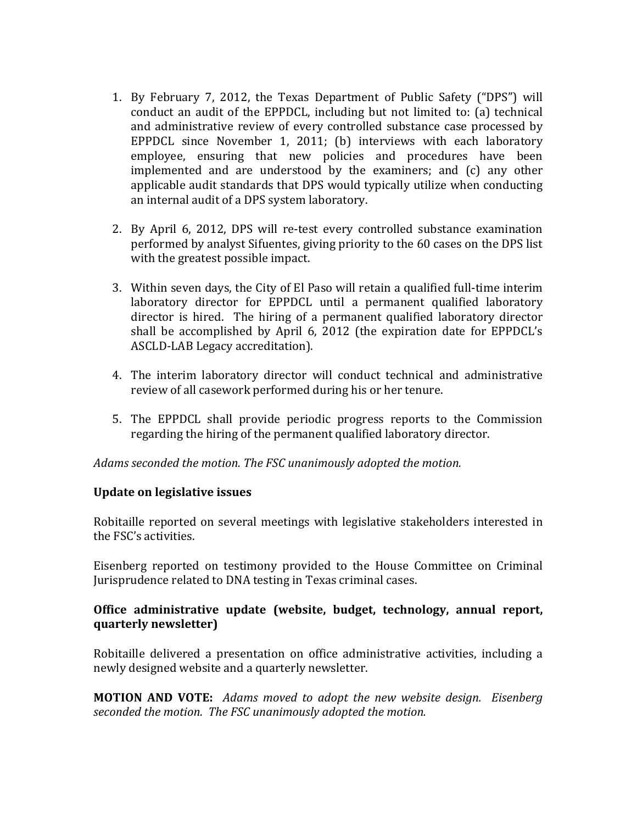- 1. By February 7, 2012, the Texas Department of Public Safety ("DPS") will conduct an audit of the EPPDCL, including but not limited to: (a) technical and administrative review of every controlled substance case processed by EPPDCL since November 1, 2011; (b) interviews with each laboratory employee, ensuring that new policies and procedures have been implemented and are understood by the examiners; and (c) any other applicable audit standards that DPS would typically utilize when conducting an internal audit of a DPS system laboratory.
- 2. By April 6, 2012, DPS will re-test every controlled substance examination performed by analyst Sifuentes, giving priority to the 60 cases on the DPS list with the greatest possible impact.
- 3. Within seven days, the City of El Paso will retain a qualified full‐time interim laboratory director for EPPDCL until a permanent qualified laboratory director is hired. The hiring of a permanent qualified laboratory director shall be accomplished by April 6, 2012 (the expiration date for EPPDCL's ASCLD‐LAB Legacy accreditation).
- 4. The interim laboratory director will conduct technical and administrative review of all casework performed during his or her tenure.
- 5. The EPPDCL shall provide periodic progress reports to the Commission regarding the hiring of the permanent qualified laboratory director.

*Adams seconded the motion. The FSC unanimously adopted the motion.* 

### **Update on legislative issues**

Robitaille reported on several meetings with legislative stakeholders interested in the FSC's activities.

Eisenberg reported on testimony provided to the House Committee on Criminal Jurisprudence related to DNA testing in Texas criminal cases.

# **Office administrative update (website, budget, technology, annual report, quarterly newsletter)**

Robitaille delivered a presentation on office administrative activities, including a newly designed website and a quarterly newsletter.

**MOTION AND VOTE:** *Adams moved to adopt the new website design. Eisenberg seconded the motion. The FSC unanimously adopted the motion.*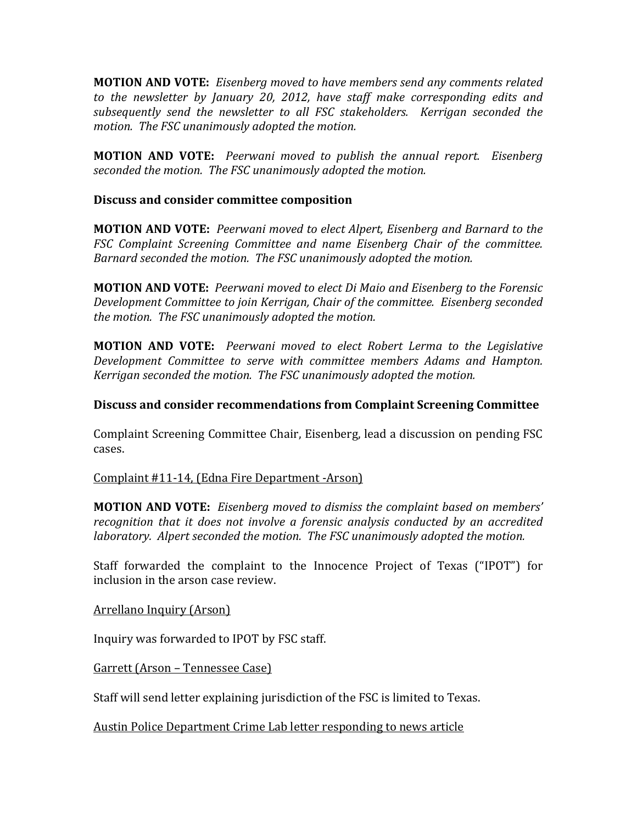**MOTION AND VOTE:** *Eisenberg moved to have members send any comments related to the newsletter by January 20, 2012, have staff make corresponding edits and subsequently send the newsletter to all FSC stakeholders. Kerrigan seconded the motion. The FSC unanimously adopted the motion.* 

**MOTION AND VOTE:**  *Peerwani moved to publish the annual report. Eisenberg seconded the motion. The FSC unanimously adopted the motion.* 

#### **Discuss and consider committee composition**

**MOTION AND VOTE:** *Peerwani moved to elect Alpert, Eisenberg and Barnard to the FSC Complaint Screening Committee and name Eisenberg Chair of the committee. Barnard seconded the motion. The FSC unanimously adopted the motion.* 

**MOTION AND VOTE:** *Peerwani moved to elect Di Maio and Eisenberg to the Forensic Development Committee to join Kerrigan, Chair of the committee. Eisenberg seconded the motion. The FSC unanimously adopted the motion.* 

**MOTION AND VOTE:**  *Peerwani moved to elect Robert Lerma to the Legislative Development Committee to serve with committee members Adams and Hampton. Kerrigan seconded the motion. The FSC unanimously adopted the motion.* 

#### **Discuss and consider recommendations from Complaint Screening Committee**

Complaint Screening Committee Chair, Eisenberg, lead a discussion on pending FSC cases.

Complaint #11‐14, (Edna Fire Department ‐Arson)

**MOTION AND VOTE:** *Eisenberg moved to dismiss the complaint based on members' recognition that it does not involve a forensic analysis conducted by an accredited laboratory. Alpert seconded the motion. The FSC unanimously adopted the motion.*

Staff forwarded the complaint to the Innocence Project of Texas ("IPOT") for inclusion in the arson case review.

Arrellano Inquiry (Arson)

Inquiry was forwarded to IPOT by FSC staff.

Garrett (Arson – Tennessee Case)

Staff will send letter explaining jurisdiction of the FSC is limited to Texas.

Austin Police Department Crime Lab letter responding to news article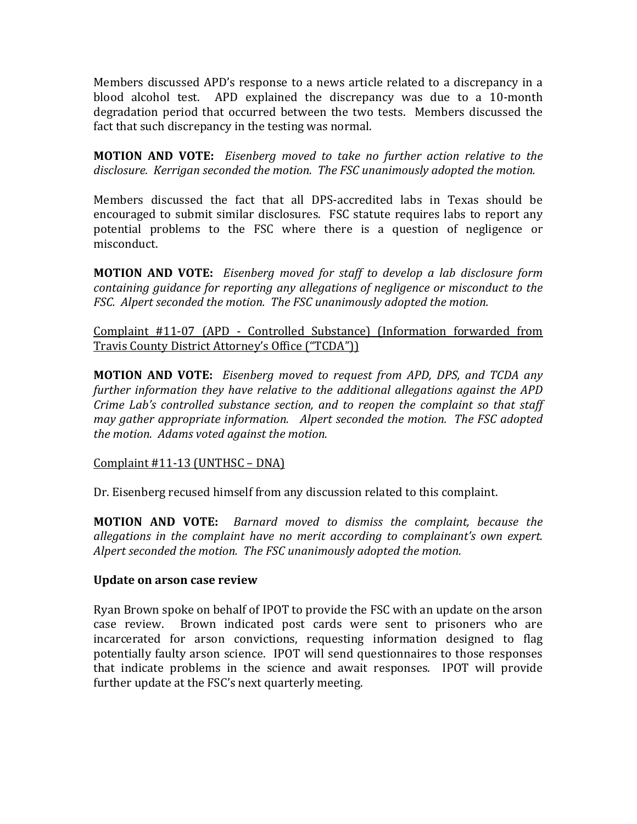Members discussed APD's response to a news article related to a discrepancy in a blood alcohol test. APD explained the discrepancy was due to a 10‐month degradation period that occurred between the two tests. Members discussed the fact that such discrepancy in the testing was normal.

**MOTION AND VOTE:**  *Eisenberg moved to take no further action relative to the disclosure. Kerrigan seconded the mo ion t . The FSC unanimously adopted the motion.* 

Members discussed the fact that all DPS‐accredited labs in Texas should be encouraged to submit similar disclosures. FSC statute requires labs to report any potential problems to the FSC where there is a question of negligence or misconduct.

**MOTION AND VOTE:**  *Eisenberg moved for staff to develop a lab disclosure form containing guidance for reporting any allegations of negligence or misconduct to the FSC. Alpert seconded the motion. The FSC unanimously adopted the motion.* 

Complaint #11‐07 (APD ‐ Controlled Substance) (Information forwarded from Travis County District Attorney's Office ("TCDA"))

**MOTION AND VOTE:**  *Eisenberg moved to request from APD, DPS, and TCDA any further information they have relative to the additional allegations against the APD Crime Lab's controlled substance section, and to reopen the complaint so that staff may gather appropriate information. Alpert seconded the motion. The FSC adopted the motion. Adams voted against the motion.* 

Complaint #11‐13 (UNTHSC – DNA)

Dr. Eisenberg recused himself from any discussion related to this complaint.

**MOTION AND VOTE:**  *Barnard moved to dismiss the complaint, because the allegations in the complaint have no merit according to complainant's own expert. Alpert seconded the motion. The FSC unanimously adopted the motion.* 

### **Update on arson case review**

Ryan Brown spoke on behalf of IPOT to provide the FSC with an update on the arson case review. Brown indicated post cards were sent to prisoners who are incarcerated for arson convictions, requesting information designed to flag potentially faulty arson science. IPOT will send questionnaires to those responses that indicate problems in the science and await responses. IPOT will provide further update at the FSC's next quarterly meeting.